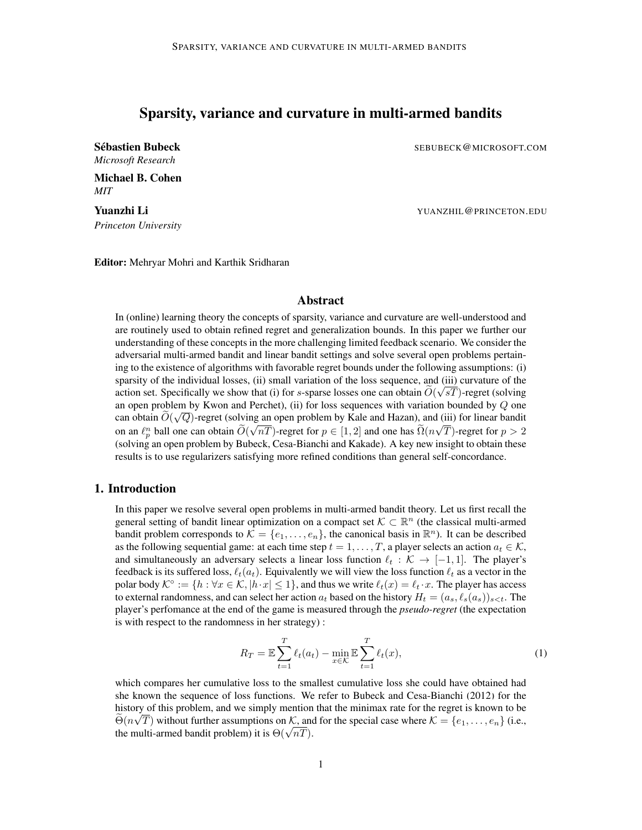# Sparsity, variance and curvature in multi-armed bandits

*Microsoft Research*

Michael B. Cohen *MIT*

*Princeton University*

**Sébastien Bubeck of SEBUBECK COMICROSOFT.COM** 

**Yuanzhi Li** Yuanzhi Li Yuanzhi Li Yuanzhi Li Yuanzhi Li Yuanzhi Li Yuanzhi Li Yuanzhi Li Yuanzhi Li Yuanzhi Li

Editor: Mehryar Mohri and Karthik Sridharan

# Abstract

In (online) learning theory the concepts of sparsity, variance and curvature are well-understood and are routinely used to obtain refined regret and generalization bounds. In this paper we further our understanding of these concepts in the more challenging limited feedback scenario. We consider the adversarial multi-armed bandit and linear bandit settings and solve several open problems pertaining to the existence of algorithms with favorable regret bounds under the following assumptions: (i) sparsity of the individual losses, (ii) small variation of the loss sequence, and (iii) curvature of the action set. Specifically we show that (i) for s-sparse losses one can obtain  $O(\sqrt{sT})$ -regret (solving an open problem by Kwon and Perchet), (ii) for loss sequences with variation bounded by Q one can obtain  $O(\sqrt{Q})$ -regret (solving an open problem by Kale and Hazan), and (iii) for linear bandit on an  $\ell_p^n$  ball one can obtain  $O(\sqrt{nT})$ -regret for  $p \in [1, 2]$  and one has  $O(n\sqrt{T})$ -regret for  $p > 2$ (solving an open problem by Bubeck, Cesa-Bianchi and Kakade). A key new insight to obtain these results is to use regularizers satisfying more refined conditions than general self-concordance.

# 1. Introduction

In this paper we resolve several open problems in multi-armed bandit theory. Let us first recall the general setting of bandit linear optimization on a compact set  $\mathcal{K} \subset \mathbb{R}^n$  (the classical multi-armed bandit problem corresponds to  $\mathcal{K} = \{e_1, \ldots, e_n\}$ , the canonical basis in  $\mathbb{R}^n$ ). It can be described as the following sequential game: at each time step  $t = 1, \ldots, T$ , a player selects an action  $a_t \in \mathcal{K}$ , and simultaneously an adversary selects a linear loss function  $\ell_t : \mathcal{K} \to [-1, 1]$ . The player's feedback is its suffered loss,  $\ell_t(a_t)$ . Equivalently we will view the loss function  $\ell_t$  as a vector in the polar body  $\mathcal{K}^{\circ} := \{h : \forall x \in \mathcal{K}, |h \cdot x| \leq 1\}$ , and thus we write  $\ell_t(x) = \ell_t \cdot x$ . The player has access to external randomness, and can select her action  $a_t$  based on the history  $H_t = (a_s, \ell_s(a_s))_{s < t}$ . The player's perfomance at the end of the game is measured through the *pseudo-regret* (the expectation is with respect to the randomness in her strategy) :

$$
R_T = \mathbb{E}\sum_{t=1}^T \ell_t(a_t) - \min_{x \in \mathcal{K}} \mathbb{E}\sum_{t=1}^T \ell_t(x),\tag{1}
$$

which compares her cumulative loss to the smallest cumulative loss she could have obtained had she known the sequence of loss functions. We refer to [Bubeck and Cesa-Bianchi](#page-10-0) [\(2012\)](#page-10-0) for the history of this problem, and we simply mention that the minimax rate for the regret is known to be  $\Theta(n\sqrt{T})$  without further assumptions on K, and for the special case where  $\mathcal{K} = \{e_1, \ldots, e_n\}$  (i.e.,  $\Theta(n\sqrt{I})$  without further assumptions on  $\mathcal{N}$ , and<br>the multi-armed bandit problem) it is  $\Theta(\sqrt{nT})$ .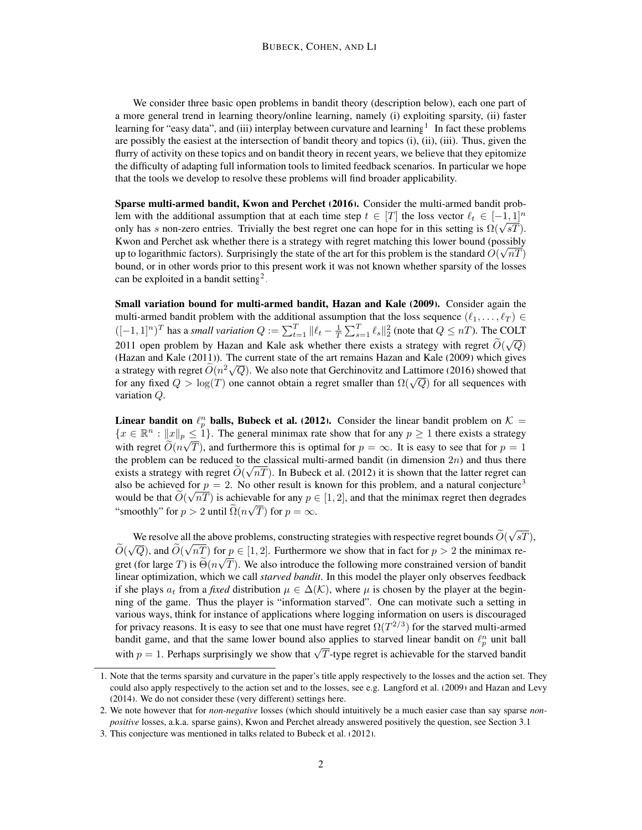We consider three basic open problems in bandit theory (description below), each one part of a more general trend in learning theory/online learning, namely (i) exploiting sparsity, (ii) faster learning for "easy data", and (iii) interplay between curvature and learning<sup>[1](#page-1-0)</sup>. In fact these problems are possibly the easiest at the intersection of bandit theory and topics (i), (ii), (iii). Thus, given the flurry of activity on these topics and on bandit theory in recent years, we believe that they epitomize the difficulty of adapting full information tools to limited feedback scenarios. In particular we hope that the tools we develop to resolve these problems will find broader applicability.

Sparse multi-armed bandit, [Kwon and Perchet](#page-10-1) [\(2016\)](#page-10-1). Consider the multi-armed bandit problem with the additional assumption that at each time step  $t \in [T]$  the loss vector  $\ell_t \in [-1, 1]^n$ Lem with the additional assumption that at each time step  $t \in [1]$  the loss vector  $\ell_t \in [-1,1]$  only has s non-zero entries. Trivially the best regret one can hope for in this setting is  $\Omega(\sqrt{sT})$ . Kwon and Perchet ask whether there is a strategy with regret matching this lower bound (possibly up to logarithmic factors). Surprisingly the state of the art for this problem is the standard  $O(\sqrt{nT})$ bound, or in other words prior to this present work it was not known whether sparsity of the losses can be exploited in a bandit setting<sup>[2](#page-1-1)</sup>.

Small variation bound for multi-armed bandit, [Hazan and Kale](#page-10-2) [\(2009\)](#page-10-2). Consider again the multi-armed bandit problem with the additional assumption that the loss sequence  $(\ell_1, \ldots, \ell_T) \in$  $([-1, 1]^n)^T$  has a *small variation*  $Q := \sum_{t=1}^T ||\ell_t - \frac{1}{T} \sum_{s=1}^T \ell_s||_2^2$  (note that  $Q \le nT$ ). The COLT 2011 open problem by Hazan and Kale ask whether there exists a strategy with regret  $O(\sqrt{Q})$ [\(Hazan and Kale](#page-10-3) [\(2011\)](#page-10-3)). The current state of the art remains [Hazan and Kale](#page-10-2) [\(2009\)](#page-10-2) which gives Trazan and Naie (2011)). The current state of the art remains Hazan and Naie (2009) which gives a strategy with regret  $\widetilde{O}(n^2\sqrt{Q})$ . We also note that [Gerchinovitz and Lattimore](#page-10-4) [\(2016\)](#page-10-4) showed that for any fixed  $Q > log(T)$  one cannot obtain a regret smaller than  $\Omega(\sqrt{Q})$  for all sequences with variation Q.

**Linear bandit on**  $\ell_p^n$  **balls, [Bubeck et al.](#page-10-5) [\(2012\)](#page-10-5).** Consider the linear bandit problem on  $\mathcal{K} =$  ${x \in \mathbb{R}^n : ||x||_p \leq 1}.$  The general minimax rate show that for any  $p \geq 1$  there exists a strategy with regret  $O(n\sqrt{T})$ , and furthermore this is optimal for  $p = \infty$ . It is easy to see that for  $p = 1$ the problem can be reduced to the classical multi-armed bandit (in dimension 2n) and thus there exists a strategy with regret  $O(\sqrt{nT})$ . In [Bubeck et al.](#page-10-5) [\(2012\)](#page-10-5) it is shown that the latter regret can also be achieved for  $p = 2$ . No other result is known for this problem, and a natural conjecture<sup>[3](#page-1-2)</sup> would be that  $O(\sqrt{nT})$  is achievable for any  $p \in [1, 2]$ , and that the minimax regret then degrades "smoothly" for  $p > 2$  until  $\Omega(n\sqrt{T})$  for  $p = \infty$ .

We resolve all the above problems, constructing strategies with respective regret bounds  $O(\sqrt{m})$ √ Ill the above problems, constructing strategies with respective regret bounds  $O(\sqrt{sT})$ ,  $\widetilde{O}(\sqrt{Q})$ , and  $\widetilde{O}(\sqrt{nT})$  for  $p \in [1, 2]$ . Furthermore we show that in fact for  $p > 2$  the minimax regret (for large T) is  $\Theta(n\sqrt{T})$ . We also introduce the following more constrained version of bandit linear optimization, which we call *starved bandit*. In this model the player only observes feedback if she plays  $a_t$  from a *fixed* distribution  $\mu \in \Delta(\mathcal{K})$ , where  $\mu$  is chosen by the player at the beginning of the game. Thus the player is "information starved". One can motivate such a setting in various ways, think for instance of applications where logging information on users is discouraged for privacy reasons. It is easy to see that one must have regret  $\Omega(T^{2/3})$  for the starved multi-armed bandit game, and that the same lower bound also applies to starved linear bandit on  $\ell_p^n$  unit ball bandit gaine, and that the same fower bound also applies to starved finear bandit on  $v_p$  that bandit with  $p = 1$ . Perhaps surprisingly we show that  $\sqrt{T}$ -type regret is achievable for the starved bandit

<span id="page-1-0"></span><sup>1.</sup> Note that the terms sparsity and curvature in the paper's title apply respectively to the losses and the action set. They could also apply respectively to the action set and to the losses, see e.g. [Langford et al.](#page-10-6) [\(2009\)](#page-10-6) and [Hazan and Levy](#page-10-7) [\(2014\)](#page-10-7). We do not consider these (very different) settings here.

<span id="page-1-1"></span><sup>2.</sup> We note however that for *non-negative* losses (which should intuitively be a much easier case than say sparse *nonpositive* losses, a.k.a. sparse gains), Kwon and Perchet already answered positively the question, see Section [3.1.](#page-6-0)

<span id="page-1-2"></span><sup>3.</sup> This conjecture was mentioned in talks related to [Bubeck et al.](#page-10-5) [\(2012\)](#page-10-5).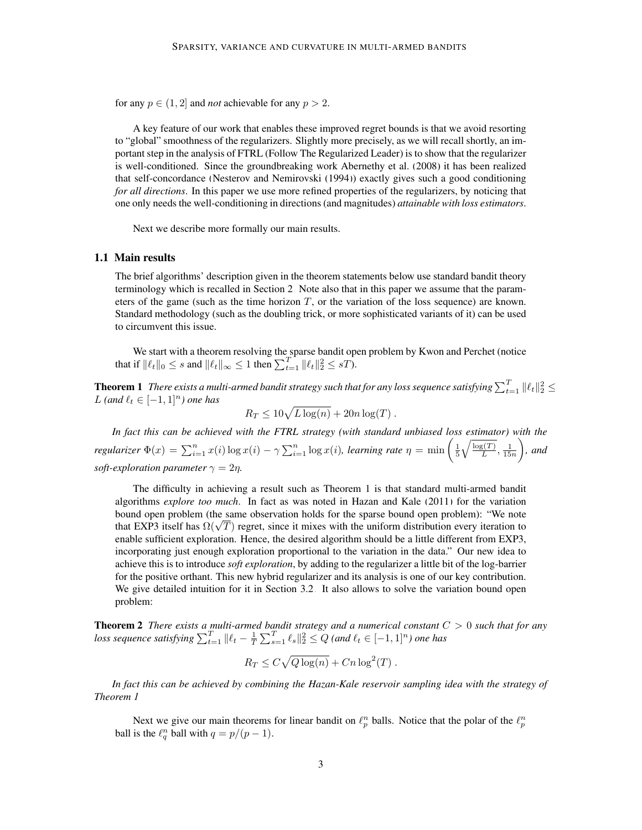for any  $p \in (1, 2]$  and *not* achievable for any  $p > 2$ .

A key feature of our work that enables these improved regret bounds is that we avoid resorting to "global" smoothness of the regularizers. Slightly more precisely, as we will recall shortly, an important step in the analysis of FTRL (Follow The Regularized Leader) is to show that the regularizer is well-conditioned. Since the groundbreaking work [Abernethy et al.](#page-10-8) [\(2008\)](#page-10-8) it has been realized that self-concordance [\(Nesterov and Nemirovski](#page-11-0) [\(1994\)](#page-11-0)) exactly gives such a good conditioning *for all directions*. In this paper we use more refined properties of the regularizers, by noticing that one only needs the well-conditioning in directions (and magnitudes) *attainable with loss estimators*.

Next we describe more formally our main results.

## 1.1 Main results

The brief algorithms' description given in the theorem statements below use standard bandit theory terminology which is recalled in Section [2.](#page-3-0) Note also that in this paper we assume that the parameters of the game (such as the time horizon  $T$ , or the variation of the loss sequence) are known. Standard methodology (such as the doubling trick, or more sophisticated variants of it) can be used to circumvent this issue.

We start with a theorem resolving the sparse bandit open problem by Kwon and Perchet (notice that if  $\|\ell_t\|_0 \leq s$  and  $\|\ell_t\|_{\infty} \leq 1$  then  $\sum_{t=1}^T \|\ell_t\|_2^2 \leq sT$ .

**Theorem 1** There exists a multi-armed bandit strategy such that for any loss sequence satisfying  $\sum_{t=1}^T \|\ell_t\|_2^2 \leq$ *L* (and  $\ell_t$  ∈  $[-1, 1]$ <sup>n</sup>) one has

<span id="page-2-0"></span>
$$
R_T \le 10\sqrt{L\log(n)} + 20n\log(T).
$$

*In fact this can be achieved with the FTRL strategy (with standard unbiased loss estimator) with the regularizer*  $\Phi(x) = \sum_{i=1}^n x(i) \log x(i) - \gamma \sum_{i=1}^n \log x(i)$ *, learning rate*  $\eta = \min \left( \frac{1}{5} \sqrt{\frac{\log(T)}{L}} \right)$  $\frac{g(T)}{L}, \frac{1}{15n}$  *, and soft-exploration parameter*  $\gamma = 2\eta$ .

The difficulty in achieving a result such as Theorem [1](#page-2-0) is that standard multi-armed bandit algorithms *explore too much*. In fact as was noted in [Hazan and Kale](#page-10-3) [\(2011\)](#page-10-3) for the variation bound open problem (the same observation holds for the sparse bound open problem): "We note bound open problem (the same observation holds for the sparse bound open problem): "We note<br>that EXP3 itself has  $\Omega(\sqrt{T})$  regret, since it mixes with the uniform distribution every iteration to enable sufficient exploration. Hence, the desired algorithm should be a little different from EXP3, incorporating just enough exploration proportional to the variation in the data." Our new idea to achieve this is to introduce *soft exploration*, by adding to the regularizer a little bit of the log-barrier for the positive orthant. This new hybrid regularizer and its analysis is one of our key contribution. We give detailed intuition for it in Section [3.2.](#page-7-0) It also allows to solve the variation bound open problem:

<span id="page-2-2"></span>Theorem 2 *There exists a multi-armed bandit strategy and a numerical constant* C > 0 *such that for any loss sequence satisfying*  $\sum_{t=1}^T \|\ell_t - \frac{1}{T} \sum_{s=1}^T \ell_s\|_2^2 \le Q$  *(and*  $\ell_t \in [-1, 1]^n$ *) one has* 

$$
R_T \leq C\sqrt{Q\log(n)} + Cn\log^2(T).
$$

*In fact this can be achieved by combining the Hazan-Kale reservoir sampling idea with the strategy of Theorem [1](#page-2-0)*

<span id="page-2-1"></span>Next we give our main theorems for linear bandit on  $\ell_p^n$  balls. Notice that the polar of the  $\ell_p^n$ ball is the  $\ell_q^n$  ball with  $q = p/(p-1)$ .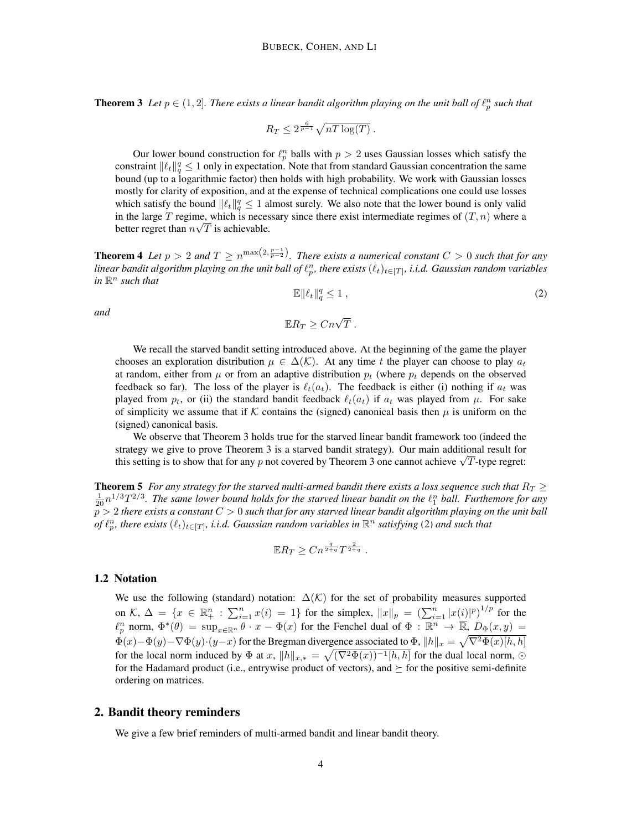**Theorem 3** Let  $p \in (1, 2]$ . There exists a linear bandit algorithm playing on the unit ball of  $\ell_p^n$  such that

$$
R_T \le 2^{\frac{6}{p-1}} \sqrt{nT \log(T)}.
$$

Our lower bound construction for  $\ell_p^n$  balls with  $p > 2$  uses Gaussian losses which satisfy the constraint  $\|\ell_t\|_q^q \leq 1$  only in expectation. Note that from standard Gaussian concentration the same bound (up to a logarithmic factor) then holds with high probability. We work with Gaussian losses mostly for clarity of exposition, and at the expense of technical complications one could use losses which satisfy the bound  $\|\ell_t\|_q^q \leq 1$  almost surely. We also note that the lower bound is only valid in the large T regime, which is necessary since there exist intermediate regimes of  $(T, n)$  where a better regret than  $n\sqrt{T}$  is achievable.

<span id="page-3-2"></span><span id="page-3-1"></span>**Theorem 4** Let  $p > 2$  and  $T \ge n^{\max(2, \frac{p-1}{p-2})}$ . There exists a numerical constant  $C > 0$  such that for any linear bandit algorithm playing on the unit ball of  $\ell_p^n$ , there exists  $(\ell_t)_{t\in[T]},$  i.i.d. Gaussian random variables  $in \mathbb{R}^n$  *such that* 

$$
\mathbb{E}\|\ell_t\|_q^q \le 1\,,\tag{2}
$$

*and*

$$
\mathbb{E}R_T \geq Cn\sqrt{T} .
$$

We recall the starved bandit setting introduced above. At the beginning of the game the player chooses an exploration distribution  $\mu \in \Delta(\mathcal{K})$ . At any time t the player can choose to play  $a_t$ at random, either from  $\mu$  or from an adaptive distribution  $p_t$  (where  $p_t$  depends on the observed feedback so far). The loss of the player is  $\ell_t(a_t)$ . The feedback is either (i) nothing if  $a_t$  was played from  $p_t$ , or (ii) the standard bandit feedback  $\ell_t(a_t)$  if  $a_t$  was played from  $\mu$ . For sake of simplicity we assume that if K contains the (signed) canonical basis then  $\mu$  is uniform on the (signed) canonical basis.

We observe that Theorem [3](#page-2-1) holds true for the starved linear bandit framework too (indeed the strategy we give to prove Theorem [3](#page-2-1) is a starved bandit strategy). Our main additional result for strategy we give to prove Theorem [3](#page-2-1) is a starved bandit strategy). Our main additional result for this setting is to show that for any p not covered by Theorem 3 one cannot achieve  $\sqrt{T}$ -type regret:

<span id="page-3-3"></span>**Theorem 5** *For any strategy for the starved multi-armed bandit there exists a loss sequence such that*  $R_T \geq$  $\frac{1}{20}n^{1/3}T^{2/3}$ . The same lower bound holds for the starved linear bandit on the  $\ell_1^n$  ball. Furthemore for any p > 2 *there exists a constant* C > 0 *such that for any starved linear bandit algorithm playing on the unit ball* of  $\ell_p^n$ , there exists  $(\ell_t)_{t \in [T]}$ , *i.i.d. Gaussian random variables in*  $\mathbb{R}^n$  *satisfying* [\(2\)](#page-3-1) *and such that* 

$$
\mathbb{E} R_T \geq C n^{\frac{q}{2+q}} T^{\frac{2}{2+q}}.
$$

# 1.2 Notation

We use the following (standard) notation:  $\Delta(\mathcal{K})$  for the set of probability measures supported on  $\mathcal{K}, \Delta = \{x \in \mathbb{R}^n_+ : \sum_{i=1}^n x(i) = 1\}$  for the simplex,  $||x||_p = (\sum_{i=1}^n |x(i)|^p)^{1/p}$  for the  $\ell_p^n$  norm,  $\Phi^*(\theta) = \sup_{x \in \mathbb{R}^n} \theta \cdot x - \Phi(x)$  for the Fenchel dual of  $\Phi : \mathbb{R}^n \to \overline{\mathbb{R}}$ ,  $D_{\Phi}(x, y) =$  $\Phi(x)-\Phi(y)-\nabla\Phi(y)\cdot(y-x)$  for the Bregman divergence associated to  $\Phi$ ,  $\|h\|_x = \sqrt{\nabla^2\Phi(x)[h,h]}$ for the local norm induced by  $\Phi$  at  $x$ ,  $||h||_{x,*} = \sqrt{(\nabla^2 \Phi(x))^{-1}[h, h]}$  for the dual local norm,  $\odot$ for the Hadamard product (i.e., entrywise product of vectors), and  $\succeq$  for the positive semi-definite ordering on matrices.

## <span id="page-3-0"></span>2. Bandit theory reminders

We give a few brief reminders of multi-armed bandit and linear bandit theory.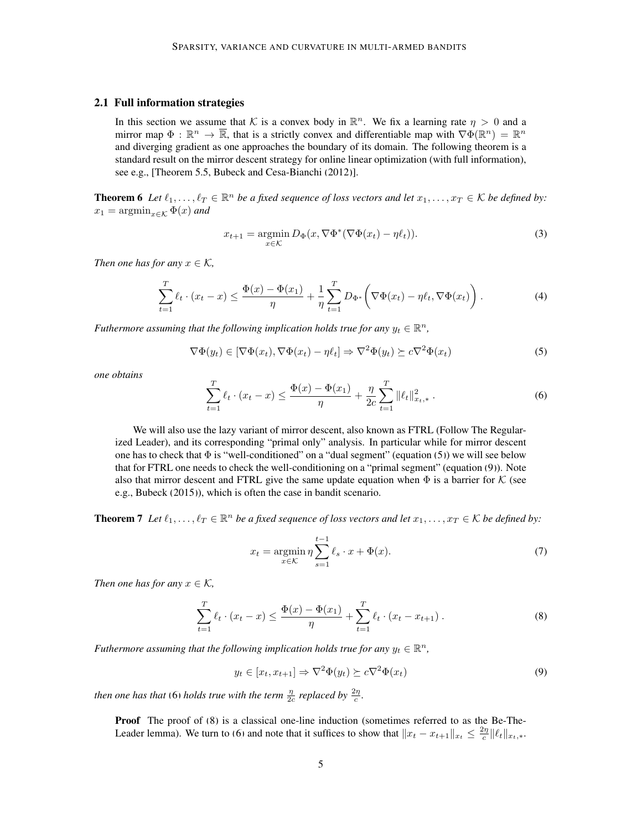# 2.1 Full information strategies

In this section we assume that K is a convex body in  $\mathbb{R}^n$ . We fix a learning rate  $\eta > 0$  and a mirror map  $\Phi : \mathbb{R}^n \to \overline{\mathbb{R}}$ , that is a strictly convex and differentiable map with  $\nabla \Phi(\mathbb{R}^n) = \mathbb{R}^n$ and diverging gradient as one approaches the boundary of its domain. The following theorem is a standard result on the mirror descent strategy for online linear optimization (with full information), see e.g., [Theorem 5.5, [Bubeck and Cesa-Bianchi](#page-10-0) [\(2012\)](#page-10-0)].

<span id="page-4-4"></span>**Theorem 6** Let  $\ell_1, \ldots, \ell_T \in \mathbb{R}^n$  be a fixed sequence of loss vectors and let  $x_1, \ldots, x_T \in \mathcal{K}$  be defined by:  $x_1 = \operatorname{argmin}_{x \in \mathcal{K}} \Phi(x)$  and

<span id="page-4-6"></span><span id="page-4-0"></span>
$$
x_{t+1} = \underset{x \in \mathcal{K}}{\operatorname{argmin}} D_{\Phi}(x, \nabla \Phi^*(\nabla \Phi(x_t) - \eta \ell_t)). \tag{3}
$$

*Then one has for any*  $x \in \mathcal{K}$ ,

$$
\sum_{t=1}^{T} \ell_t \cdot (x_t - x) \le \frac{\Phi(x) - \Phi(x_1)}{\eta} + \frac{1}{\eta} \sum_{t=1}^{T} D_{\Phi^*} \left( \nabla \Phi(x_t) - \eta \ell_t, \nabla \Phi(x_t) \right). \tag{4}
$$

*Futhermore assuming that the following implication holds true for any*  $y_t \in \mathbb{R}^n$ ,

<span id="page-4-2"></span>
$$
\nabla \Phi(y_t) \in [\nabla \Phi(x_t), \nabla \Phi(x_t) - \eta \ell_t] \Rightarrow \nabla^2 \Phi(y_t) \succeq c \nabla^2 \Phi(x_t)
$$
\n(5)

*one obtains*

$$
\sum_{t=1}^{T} \ell_t \cdot (x_t - x) \le \frac{\Phi(x) - \Phi(x_1)}{\eta} + \frac{\eta}{2c} \sum_{t=1}^{T} ||\ell_t||_{x_t, *}^2.
$$
 (6)

We will also use the lazy variant of mirror descent, also known as FTRL (Follow The Regularized Leader), and its corresponding "primal only" analysis. In particular while for mirror descent one has to check that  $\Phi$  is "well-conditioned" on a "dual segment" (equation [\(5\)](#page-4-0)) we will see below that for FTRL one needs to check the well-conditioning on a "primal segment" (equation [\(9\)](#page-4-1)). Note also that mirror descent and FTRL give the same update equation when  $\Phi$  is a barrier for K (see e.g., [Bubeck](#page-10-9) [\(2015\)](#page-10-9)), which is often the case in bandit scenario.

<span id="page-4-5"></span>**Theorem 7** Let  $\ell_1, \ldots, \ell_T \in \mathbb{R}^n$  be a fixed sequence of loss vectors and let  $x_1, \ldots, x_T \in \mathcal{K}$  be defined by:

$$
x_t = \operatorname*{argmin}_{x \in \mathcal{K}} \eta \sum_{s=1}^{t-1} \ell_s \cdot x + \Phi(x). \tag{7}
$$

*Then one has for any*  $x \in \mathcal{K}$ *,* 

<span id="page-4-3"></span>
$$
\sum_{t=1}^{T} \ell_t \cdot (x_t - x) \le \frac{\Phi(x) - \Phi(x_1)}{\eta} + \sum_{t=1}^{T} \ell_t \cdot (x_t - x_{t+1}). \tag{8}
$$

*Futhermore assuming that the following implication holds true for any*  $y_t \in \mathbb{R}^n$ ,

<span id="page-4-1"></span>
$$
y_t \in [x_t, x_{t+1}] \Rightarrow \nabla^2 \Phi(y_t) \succeq c \nabla^2 \Phi(x_t)
$$
\n(9)

*then one has that* [\(6\)](#page-4-2) *holds true with the term*  $\frac{\eta}{2c}$  *replaced by*  $\frac{2\eta}{c}$ *.* 

Proof The proof of [\(8\)](#page-4-3) is a classical one-line induction (sometimes referred to as the Be-The-Leader lemma). We turn to [\(6\)](#page-4-2) and note that it suffices to show that  $||x_t - x_{t+1}||_{x_t} \le \frac{2\eta}{c} ||\ell_t||_{x_t,*}$ .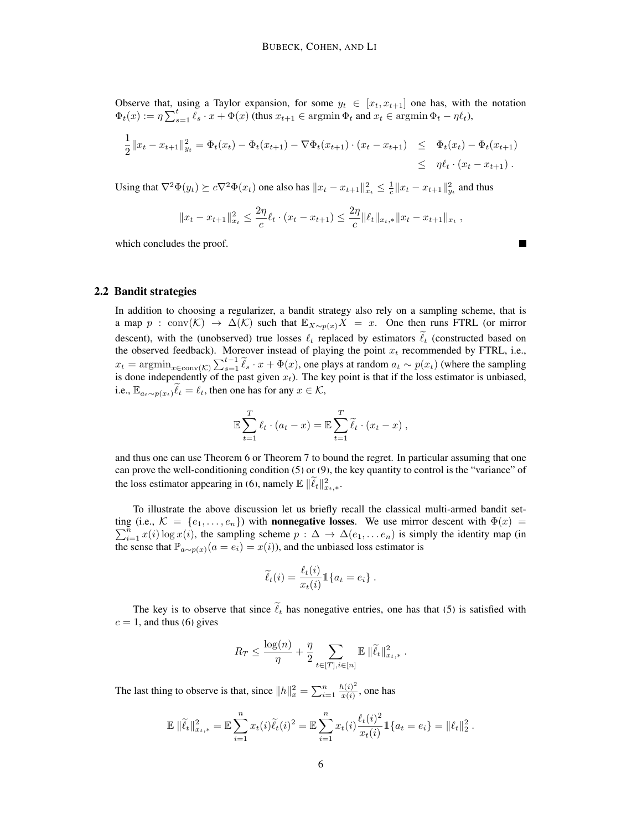Observe that, using a Taylor expansion, for some  $y_t \in [x_t, x_{t+1}]$  one has, with the notation  $\Phi_t(x) := \eta \sum_{s=1}^t \ell_s \cdot x + \Phi(x)$  (thus  $x_{t+1} \in \operatorname{argmin} \Phi_t$  and  $x_t \in \operatorname{argmin} \Phi_t - \eta \ell_t$ ),

$$
\frac{1}{2} \|x_t - x_{t+1}\|_{y_t}^2 = \Phi_t(x_t) - \Phi_t(x_{t+1}) - \nabla \Phi_t(x_{t+1}) \cdot (x_t - x_{t+1}) \leq \Phi_t(x_t) - \Phi_t(x_{t+1})
$$
\n
$$
\leq \eta \ell_t \cdot (x_t - x_{t+1}).
$$

Using that  $\nabla^2 \Phi(y_t) \succeq c \nabla^2 \Phi(x_t)$  one also has  $||x_t - x_{t+1}||_{x_t}^2 \leq \frac{1}{c} ||x_t - x_{t+1}||_{y_t}^2$  and thus

$$
||x_t - x_{t+1}||_{x_t}^2 \le \frac{2\eta}{c} \ell_t \cdot (x_t - x_{t+1}) \le \frac{2\eta}{c} ||\ell_t||_{x_t,*} ||x_t - x_{t+1}||_{x_t},
$$

which concludes the proof.

<span id="page-5-0"></span>2.2 Bandit strategies

In addition to choosing a regularizer, a bandit strategy also rely on a sampling scheme, that is a map  $p : conv(\mathcal{K}) \to \Delta(\mathcal{K})$  such that  $\mathbb{E}_{X \sim p(x)} X = x$ . One then runs FTRL (or mirror descent), with the (unobserved) true losses  $\ell_t$  replaced by estimators  $\tilde{\ell}_t$  (constructed based on the observed feedback). Moreover instead of playing the point  $x_t$  recommended by FTRL, i.e.,  $x_t = \operatorname{argmin}_{x \in \text{conv}(K)} \sum_{s=1}^{t-1} \tilde{\ell}_s \cdot x + \Phi(x)$ , one plays at random  $a_t \sim p(x_t)$  (where the sampling is done independently of the past given  $x_t$ ). The key point is that if the loss estimator is unbiased, i.e.,  $\mathbb{E}_{a_t \sim p(x_t)} \ell_t = \ell_t$ , then one has for any  $x \in \mathcal{K}$ ,

$$
\mathbb{E}\sum_{t=1}^T \ell_t \cdot (a_t - x) = \mathbb{E}\sum_{t=1}^T \widetilde{\ell}_t \cdot (x_t - x) ,
$$

and thus one can use Theorem [6](#page-4-4) or Theorem [7](#page-4-5) to bound the regret. In particular assuming that one can prove the well-conditioning condition [\(5\)](#page-4-0) or [\(9\)](#page-4-1), the key quantity to control is the "variance" of the loss estimator appearing in [\(6\)](#page-4-2), namely  $\mathbb{E} \|\widetilde{\ell}_t\|_{x_t,*}^2$ .

To illustrate the above discussion let us briefly recall the classical multi-armed bandit setting (i.e.,  $\mathcal{K} = \{e_1, \ldots, e_n\}$ ) with **nonnegative losses**. We use mirror descent with  $\Phi(x)$  $\sum_{i=1}^{n} x(i) \log x(i)$ , the sampling scheme  $p : \Delta \to \Delta(e_1, \ldots e_n)$  is simply the identity map (in the sense that  $\mathbb{P}_{a \sim p(x)}(a = e_i) = x(i)$ , and the unbiased loss estimator is

$$
\widetilde{\ell}_t(i) = \frac{\ell_t(i)}{x_t(i)} 1\{a_t = e_i\}.
$$

The key is to observe that since  $\tilde{\ell}_t$  has nonegative entries, one has that [\(5\)](#page-4-0) is satisfied with  $c = 1$ , and thus [\(6\)](#page-4-2) gives

$$
R_T \leq \frac{\log(n)}{\eta} + \frac{\eta}{2} \sum_{t \in [T], i \in [n]} \mathbb{E} \left\| \widetilde{\ell}_t \right\|_{x_t, *}^2.
$$

The last thing to observe is that, since  $||h||_x^2 = \sum_{i=1}^n \frac{h(i)^2}{x(i)}$  $\frac{u(t)}{x(i)}$ , one has

$$
\mathbb{E} \|\widetilde{\ell}_t\|_{x_{t},*}^2 = \mathbb{E} \sum_{i=1}^n x_t(i)\widetilde{\ell}_t(i)^2 = \mathbb{E} \sum_{i=1}^n x_t(i)\frac{\ell_t(i)^2}{x_t(i)} 1\{a_t = e_i\} = \|\ell_t\|_2^2.
$$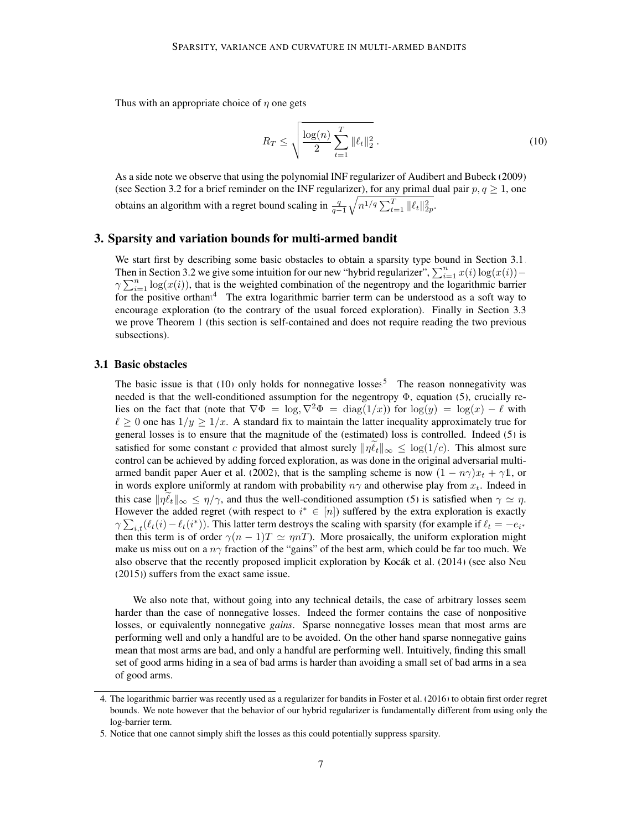Thus with an appropriate choice of  $\eta$  one gets

<span id="page-6-2"></span>
$$
R_T \le \sqrt{\frac{\log(n)}{2} \sum_{t=1}^T \|\ell_t\|_2^2} \,. \tag{10}
$$

As a side note we observe that using the polynomial INF regularizer of [Audibert and Bubeck](#page-10-10) [\(2009\)](#page-10-10) (see Section [3.2](#page-7-0) for a brief reminder on the INF regularizer), for any primal dual pair  $p, q \ge 1$ , one obtains an algorithm with a regret bound scaling in  $\frac{q}{q-1}\sqrt{n^{1/q} \sum_{t=1}^T ||\ell_t||_{2p}^2}$ .

# 3. Sparsity and variation bounds for multi-armed bandit

We start first by describing some basic obstacles to obtain a sparsity type bound in Section [3.1.](#page-6-0) Then in Section [3.2](#page-7-0) we give some intuition for our new "hybrid regularizer",  $\sum_{i=1}^{n} x(i) \log(x(i))$  –  $\gamma \sum_{i=1}^n \log(x(i))$ , that is the weighted combination of the negentropy and the logarithmic barrier for the positive orthant<sup>[4](#page-6-1)</sup>. The extra logarithmic barrier term can be understood as a soft way to encourage exploration (to the contrary of the usual forced exploration). Finally in Section [3.3](#page-7-1) we prove Theorem [1](#page-2-0) (this section is self-contained and does not require reading the two previous subsections).

#### <span id="page-6-0"></span>3.1 Basic obstacles

The basic issue is that  $(10)$  only holds for nonnegative losses<sup>[5](#page-6-3)</sup>. The reason nonnegativity was needed is that the well-conditioned assumption for the negentropy  $\Phi$ , equation [\(5\)](#page-4-0), crucially relies on the fact that (note that  $\nabla \Phi = \log_{2} \nabla^{2} \Phi = \text{diag}(1/x)$ ) for  $\log(y) = \log(x) - \ell$  with  $\ell \geq 0$  one has  $1/y \geq 1/x$ . A standard fix to maintain the latter inequality approximately true for general losses is to ensure that the magnitude of the (estimated) loss is controlled. Indeed [\(5\)](#page-4-0) is satisfied for some constant c provided that almost surely  $\|\eta \ell_t\|_{\infty} \leq \log(1/c)$ . This almost sure control can be achieved by adding forced exploration, as was done in the original adversarial multi-armed bandit paper [Auer et al.](#page-10-11) [\(2002\)](#page-10-11), that is the sampling scheme is now  $(1 - n\gamma)x_t + \gamma 1$ , or in words explore uniformly at random with probability  $n\gamma$  and otherwise play from  $x_t$ . Indeed in this case  $\|\eta \ell_t\|_{\infty} \leq \eta/\gamma$ , and thus the well-conditioned assumption [\(5\)](#page-4-0) is satisfied when  $\gamma \simeq \eta$ . However the added regret (with respect to  $i^* \in [n]$ ) suffered by the extra exploration is exactly  $\gamma \sum_{i,t} (\ell_t(i) - \ell_t(i^*))$ . This latter term destroys the scaling with sparsity (for example if  $\ell_t = -e_{i^*}$ then this term is of order  $\gamma(n-1)T \simeq \eta nT$ ). More prosaically, the uniform exploration might make us miss out on a  $n\gamma$  fraction of the "gains" of the best arm, which could be far too much. We also observe that the recently proposed implicit exploration by Kocák et al. [\(2014\)](#page-10-12) (see also [Neu](#page-11-1) [\(2015\)](#page-11-1)) suffers from the exact same issue.

We also note that, without going into any technical details, the case of arbitrary losses seem harder than the case of nonnegative losses. Indeed the former contains the case of nonpositive losses, or equivalently nonnegative *gains*. Sparse nonnegative losses mean that most arms are performing well and only a handful are to be avoided. On the other hand sparse nonnegative gains mean that most arms are bad, and only a handful are performing well. Intuitively, finding this small set of good arms hiding in a sea of bad arms is harder than avoiding a small set of bad arms in a sea of good arms.

<span id="page-6-1"></span><sup>4.</sup> The logarithmic barrier was recently used as a regularizer for bandits in [Foster et al.](#page-10-13) [\(2016\)](#page-10-13) to obtain first order regret bounds. We note however that the behavior of our hybrid regularizer is fundamentally different from using only the log-barrier term.

<span id="page-6-3"></span><sup>5.</sup> Notice that one cannot simply shift the losses as this could potentially suppress sparsity.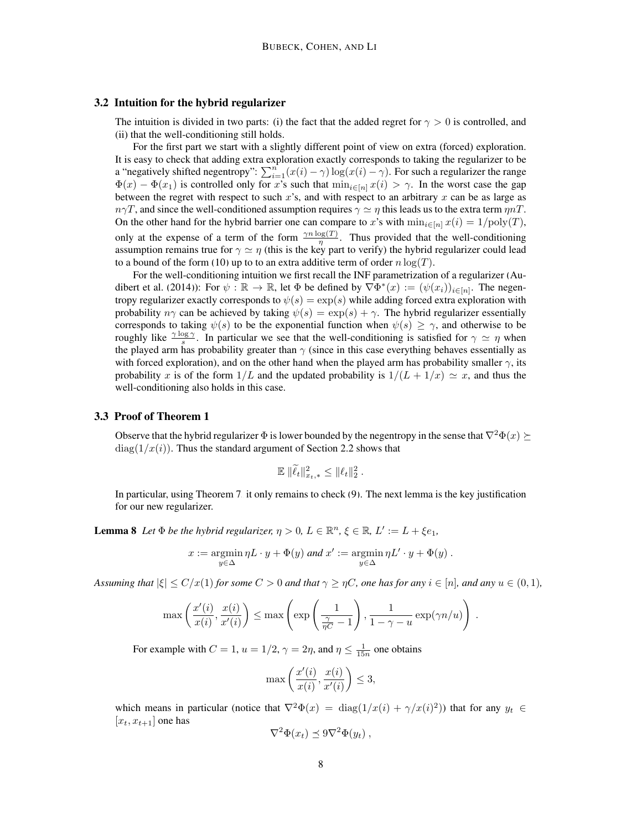#### <span id="page-7-0"></span>3.2 Intuition for the hybrid regularizer

The intuition is divided in two parts: (i) the fact that the added regret for  $\gamma > 0$  is controlled, and (ii) that the well-conditioning still holds.

For the first part we start with a slightly different point of view on extra (forced) exploration. It is easy to check that adding extra exploration exactly corresponds to taking the regularizer to be a "negatively shifted negentropy":  $\sum_{i=1}^{n} (x(i) - \gamma) \log(x(i) - \gamma)$ . For such a regularizer the range  $\Phi(x) - \Phi(x_1)$  is controlled only for x's such that  $\min_{i \in [n]} x(i) > \gamma$ . In the worst case the gap between the regret with respect to such x's, and with respect to an arbitrary x can be as large as  $n\gamma T$ , and since the well-conditioned assumption requires  $\gamma \simeq \eta$  this leads us to the extra term  $\eta nT$ . On the other hand for the hybrid barrier one can compare to x's with  $\min_{i\in[n]} x(i) = 1/\text{poly}(T)$ , only at the expense of a term of the form  $\frac{\gamma n \log(T)}{n}$ . Thus provided that the well-conditioning assumption remains true for  $\gamma \simeq \eta$  (this is the key part to verify) the hybrid regularizer could lead to a bound of the form [\(10\)](#page-6-2) up to to an extra additive term of order  $n \log(T)$ .

For the well-conditioning intuition we first recall the INF parametrization of a regularizer [\(Au](#page-10-14)[dibert et al.](#page-10-14) [\(2014\)](#page-10-14)): For  $\psi : \mathbb{R} \to \mathbb{R}$ , let  $\Phi$  be defined by  $\nabla \Phi^*(x) := (\psi(x_i))_{i \in [n]}$ . The negentropy regularizer exactly corresponds to  $\psi(s) = \exp(s)$  while adding forced extra exploration with probability  $n\gamma$  can be achieved by taking  $\psi(s) = \exp(s) + \gamma$ . The hybrid regularizer essentially corresponds to taking  $\psi(s)$  to be the exponential function when  $\psi(s) \geq \gamma$ , and otherwise to be roughly like  $\frac{\gamma \log \gamma}{s}$ . In particular we see that the well-conditioning is satisfied for  $\gamma \simeq \eta$  when the played arm has probability greater than  $\gamma$  (since in this case everything behaves essentially as with forced exploration), and on the other hand when the played arm has probability smaller  $\gamma$ , its probability x is of the form  $1/L$  and the updated probability is  $1/(L + 1/x) \simeq x$ , and thus the well-conditioning also holds in this case.

#### <span id="page-7-1"></span>3.3 Proof of Theorem [1](#page-2-0)

Observe that the hybrid regularizer  $\Phi$  is lower bounded by the negentropy in the sense that  $\nabla^2 \Phi(x) \succeq$  $diag(1/x(i))$ . Thus the standard argument of Section [2.2](#page-5-0) shows that

$$
\mathbb{E} \, \|\widetilde{\ell}_t\|_{x_t,\ast}^2 \le \|\ell_t\|_2^2
$$

.

In particular, using Theorem [7,](#page-4-5) it only remains to check [\(9\)](#page-4-1). The next lemma is the key justification for our new regularizer.

**Lemma 8** Let  $\Phi$  *be the hybrid regularizer,*  $\eta > 0$ ,  $L \in \mathbb{R}^n$ ,  $\xi \in \mathbb{R}$ ,  $L' := L + \xi e_1$ ,

$$
x := \operatorname*{argmin}_{y \in \Delta} \eta L \cdot y + \Phi(y) \text{ and } x' := \operatorname*{argmin}_{y \in \Delta} \eta L' \cdot y + \Phi(y) .
$$

*Assuming that*  $|\xi| \le C/x(1)$  *for some*  $C > 0$  *and that*  $\gamma \ge \eta C$ *, one has for any*  $i \in [n]$ *, and any*  $u \in (0, 1)$ *,* 

$$
\max\left(\frac{x'(i)}{x(i)}, \frac{x(i)}{x'(i)}\right) \le \max\left(\exp\left(\frac{1}{\frac{\gamma}{\eta C} - 1}\right), \frac{1}{1 - \gamma - u}\exp(\gamma n/u)\right).
$$

For example with  $C = 1$ ,  $u = 1/2$ ,  $\gamma = 2\eta$ , and  $\eta \le \frac{1}{15n}$  one obtains

$$
\max\left(\frac{x'(i)}{x(i)}, \frac{x(i)}{x'(i)}\right) \le 3,
$$

which means in particular (notice that  $\nabla^2 \Phi(x) = \text{diag}(1/x(i) + \gamma/x(i)^2)$ ) that for any  $y_t \in$  $[x_t, x_{t+1}]$  one has

$$
\nabla^2 \Phi(x_t) \preceq 9\nabla^2 \Phi(y_t) ,
$$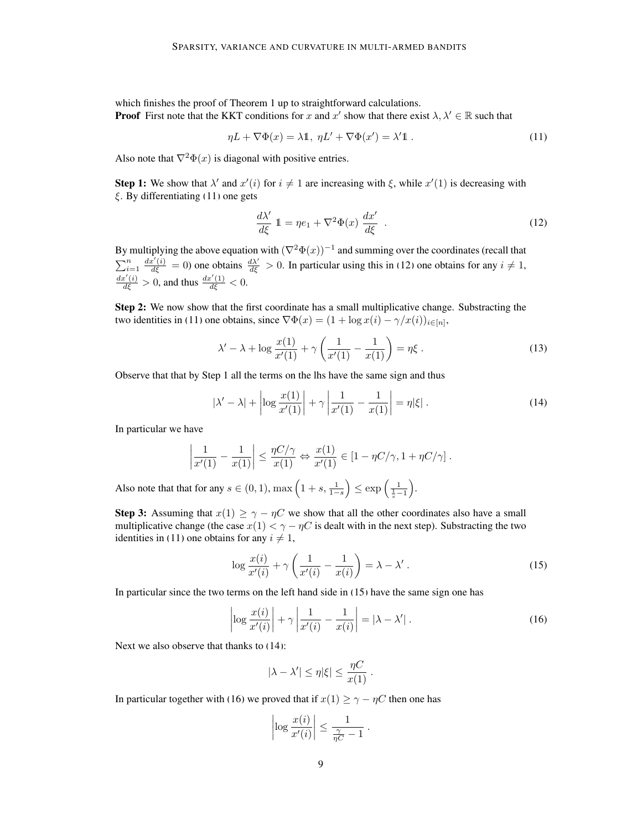which finishes the proof of Theorem [1](#page-2-0) up to straightforward calculations. **Proof** First note that the KKT conditions for x and x' show that there exist  $\lambda, \lambda' \in \mathbb{R}$  such that

$$
\eta L + \nabla \Phi(x) = \lambda \mathbb{1}, \ \eta L' + \nabla \Phi(x') = \lambda' \mathbb{1} \ . \tag{11}
$$

Also note that  $\nabla^2 \Phi(x)$  is diagonal with positive entries.

**Step 1:** We show that  $\lambda'$  and  $x'(i)$  for  $i \neq 1$  are increasing with  $\xi$ , while  $x'(1)$  is decreasing with  $\xi$ . By differentiating [\(11\)](#page-8-0) one gets

<span id="page-8-1"></span><span id="page-8-0"></span>
$$
\frac{d\lambda'}{d\xi} \mathbb{1} = \eta e_1 + \nabla^2 \Phi(x) \frac{dx'}{d\xi} . \tag{12}
$$

By multiplying the above equation with  $(\nabla^2 \Phi(x))^{-1}$  and summing over the coordinates (recall that  $\sum_{i=1}^n \frac{dx'(i)}{d\xi} = 0$  one obtains  $\frac{d\lambda'}{d\xi} > 0$ . In particular using this in [\(12\)](#page-8-1) one obtains for any  $i \neq 1$ ,  $\frac{dx'(i)}{d\xi} > 0$ , and thus  $\frac{dx'(1)}{d\xi} < 0$ .

Step 2: We now show that the first coordinate has a small multiplicative change. Substracting the two identities in [\(11\)](#page-8-0) one obtains, since  $\nabla \Phi(x) = (1 + \log x(i) - \gamma/x(i))_{i \in [n]},$ 

<span id="page-8-3"></span>
$$
\lambda' - \lambda + \log \frac{x(1)}{x'(1)} + \gamma \left( \frac{1}{x'(1)} - \frac{1}{x(1)} \right) = \eta \xi \,. \tag{13}
$$

Observe that that by Step 1 all the terms on the lhs have the same sign and thus

$$
|\lambda' - \lambda| + \left| \log \frac{x(1)}{x'(1)} \right| + \gamma \left| \frac{1}{x'(1)} - \frac{1}{x(1)} \right| = \eta |\xi| \,. \tag{14}
$$

In particular we have

$$
\left|\frac{1}{x'(1)} - \frac{1}{x(1)}\right| \le \frac{\eta C/\gamma}{x(1)} \Leftrightarrow \frac{x(1)}{x'(1)} \in \left[1 - \eta C/\gamma, 1 + \eta C/\gamma\right].
$$

Also note that that for any  $s \in (0, 1)$ ,  $\max\left(1 + s, \frac{1}{1 - s}\right) \le \exp\left(\frac{1}{\frac{1}{s} - 1}\right)$ .

**Step 3:** Assuming that  $x(1) \ge \gamma - \eta C$  we show that all the other coordinates also have a small multiplicative change (the case  $x(1) < \gamma - \eta C$  is dealt with in the next step). Substracting the two identities in [\(11\)](#page-8-0) one obtains for any  $i \neq 1$ ,

<span id="page-8-2"></span>
$$
\log \frac{x(i)}{x'(i)} + \gamma \left( \frac{1}{x'(i)} - \frac{1}{x(i)} \right) = \lambda - \lambda' \,. \tag{15}
$$

In particular since the two terms on the left hand side in [\(15\)](#page-8-2) have the same sign one has

$$
\left| \log \frac{x(i)}{x'(i)} \right| + \gamma \left| \frac{1}{x'(i)} - \frac{1}{x(i)} \right| = |\lambda - \lambda'| \,. \tag{16}
$$

Next we also observe that thanks to [\(14\)](#page-8-3):

<span id="page-8-4"></span>
$$
|\lambda - \lambda'| \le \eta |\xi| \le \frac{\eta C}{x(1)}.
$$

In particular together with [\(16\)](#page-8-4) we proved that if  $x(1) \ge \gamma - \eta C$  then one has

$$
\left|\log \frac{x(i)}{x'(i)}\right| \le \frac{1}{\frac{\gamma}{\eta C} - 1} \; .
$$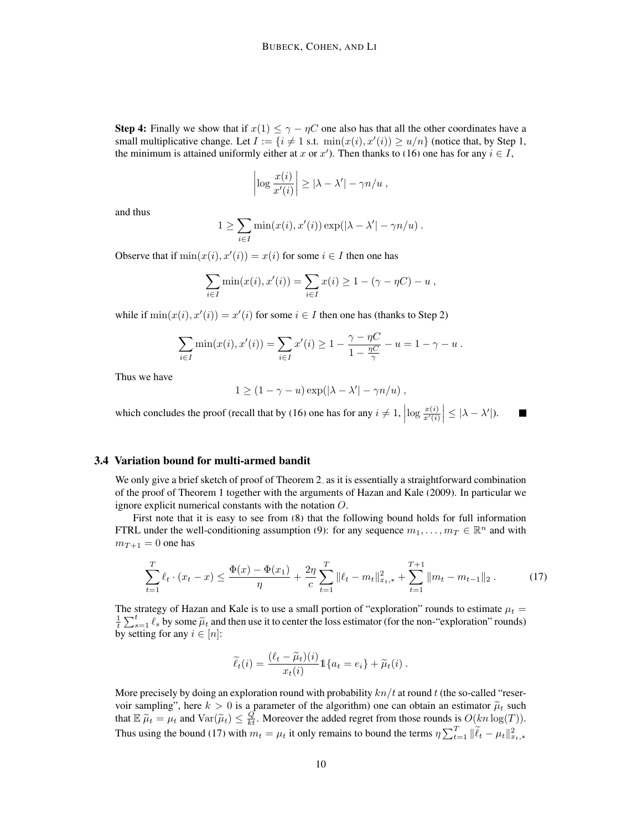**Step 4:** Finally we show that if  $x(1) \leq \gamma - \eta C$  one also has that all the other coordinates have a small multiplicative change. Let  $I := \{i \neq 1 \text{ s.t. } \min(x(i), x'(i)) \ge u/n\}$  (notice that, by Step 1, the minimum is attained uniformly either at x or x'). Then thanks to [\(16\)](#page-8-4) one has for any  $i \in I$ ,

$$
\left|\log \frac{x(i)}{x'(i)}\right| \ge |\lambda - \lambda'| - \gamma n/u ,
$$

and thus

$$
1 \geq \sum_{i \in I} \min(x(i), x'(i)) \exp(|\lambda - \lambda'| - \gamma n/u) .
$$

Observe that if  $min(x(i), x'(i)) = x(i)$  for some  $i \in I$  then one has

$$
\sum_{i \in I} \min(x(i), x'(i)) = \sum_{i \in I} x(i) \ge 1 - (\gamma - \eta C) - u,
$$

while if  $min(x(i), x'(i)) = x'(i)$  for some  $i \in I$  then one has (thanks to Step 2)

$$
\sum_{i \in I} \min(x(i), x'(i)) = \sum_{i \in I} x'(i) \ge 1 - \frac{\gamma - \eta C}{1 - \frac{\eta C}{\gamma}} - u = 1 - \gamma - u.
$$

Thus we have

$$
1 \ge (1 - \gamma - u) \exp(|\lambda - \lambda'| - \gamma n/u) ,
$$

which concludes the proof (recall that by [\(16\)](#page-8-4) one has for any  $i \neq 1$ ,  $\left| \log \frac{x(i)}{x'(i)} \right| \leq |\lambda - \lambda'|$ ). П

# 3.4 Variation bound for multi-armed bandit

We only give a brief sketch of proof of Theorem [2,](#page-2-2) as it is essentially a straightforward combination of the proof of Theorem [1](#page-2-0) together with the arguments of [Hazan and Kale](#page-10-2) [\(2009\)](#page-10-2). In particular we ignore explicit numerical constants with the notation O.

First note that it is easy to see from [\(8\)](#page-4-3) that the following bound holds for full information FTRL under the well-conditioning assumption [\(9\)](#page-4-1): for any sequence  $m_1, \ldots, m_T \in \mathbb{R}^n$  and with  $m_{T+1} = 0$  one has

<span id="page-9-0"></span>
$$
\sum_{t=1}^{T} \ell_t \cdot (x_t - x) \le \frac{\Phi(x) - \Phi(x_1)}{\eta} + \frac{2\eta}{c} \sum_{t=1}^{T} \|\ell_t - m_t\|_{x_t, *}^2 + \sum_{t=1}^{T+1} \|m_t - m_{t-1}\|_2. \tag{17}
$$

The strategy of Hazan and Kale is to use a small portion of "exploration" rounds to estimate  $\mu_t$  =  $\frac{1}{t} \sum_{s=1}^{t} \ell_s$  by some  $\tilde{\mu}_t$  and then use it to center the loss estimator (for the non-"exploration" rounds) by setting for any  $i \in [n]$ :

$$
\widetilde{\ell}_t(i) = \frac{(\ell_t - \widetilde{\mu}_t)(i)}{x_t(i)} 1\{a_t = e_i\} + \widetilde{\mu}_t(i) .
$$

More precisely by doing an exploration round with probability  $kn/t$  at round t (the so-called "reservoir sampling", here  $k > 0$  is a parameter of the algorithm) one can obtain an estimator  $\tilde{\mu}_t$  such that  $\mathbb{E} \widetilde{\mu}_t = \mu_t$  and  $\text{Var}(\widetilde{\mu}_t) \leq \frac{Q}{kt}$ . Moreover the added regret from those rounds is  $O(kn \log(T))$ . Thus using the bound [\(17\)](#page-9-0) with  $m_t = \mu_t$  it only remains to bound the terms  $\eta \sum_{t=1}^T ||\tilde{\ell}_t - \mu_t||_{x_{t},*}^2$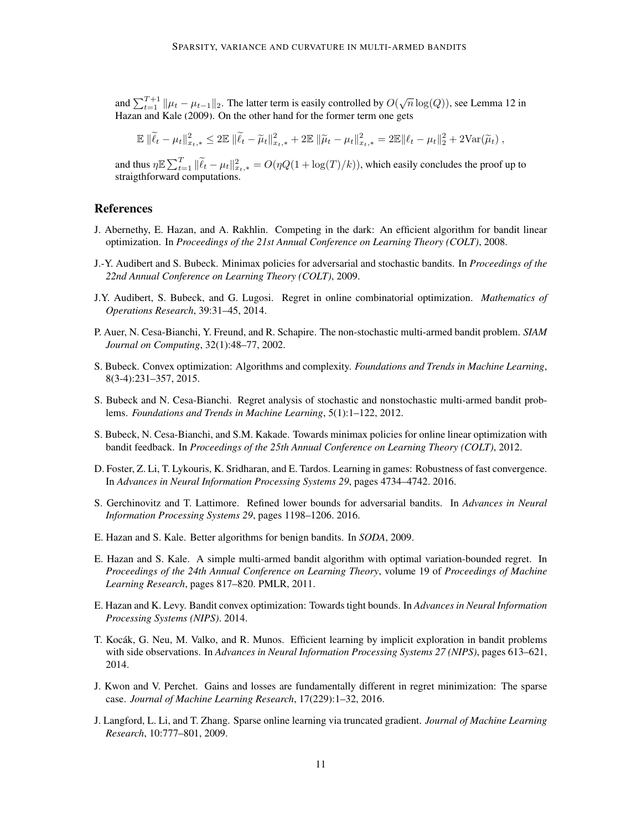and  $\sum_{t=1}^{T+1} ||\mu_t - \mu_{t-1}||_2$ . The latter term is easily controlled by  $O(\sqrt{n} \log(Q))$ , see Lemma 12 in [Hazan and Kale](#page-10-2) [\(2009\)](#page-10-2). On the other hand for the former term one gets

$$
\mathbb{E} \|\widetilde{\ell}_t - \mu_t\|_{x_t,*}^2 \le 2 \mathbb{E} \|\widetilde{\ell}_t - \widetilde{\mu}_t\|_{x_t,*}^2 + 2 \mathbb{E} \|\widetilde{\mu}_t - \mu_t\|_{x_t,*}^2 = 2 \mathbb{E} \|\ell_t - \mu_t\|_2^2 + 2 \text{Var}(\widetilde{\mu}_t),
$$

and thus  $\eta \mathbb{E} \sum_{t=1}^T \|\widetilde{\ell}_t - \mu_t\|_{x_t,*}^2 = O(\eta Q(1 + \log(T)/k))$ , which easily concludes the proof up to straigthforward computations.

# **References**

- <span id="page-10-8"></span>J. Abernethy, E. Hazan, and A. Rakhlin. Competing in the dark: An efficient algorithm for bandit linear optimization. In *Proceedings of the 21st Annual Conference on Learning Theory (COLT)*, 2008.
- <span id="page-10-10"></span>J.-Y. Audibert and S. Bubeck. Minimax policies for adversarial and stochastic bandits. In *Proceedings of the 22nd Annual Conference on Learning Theory (COLT)*, 2009.
- <span id="page-10-14"></span>J.Y. Audibert, S. Bubeck, and G. Lugosi. Regret in online combinatorial optimization. *Mathematics of Operations Research*, 39:31–45, 2014.
- <span id="page-10-11"></span>P. Auer, N. Cesa-Bianchi, Y. Freund, and R. Schapire. The non-stochastic multi-armed bandit problem. *SIAM Journal on Computing*, 32(1):48–77, 2002.
- <span id="page-10-9"></span>S. Bubeck. Convex optimization: Algorithms and complexity. *Foundations and Trends in Machine Learning*, 8(3-4):231–357, 2015.
- <span id="page-10-0"></span>S. Bubeck and N. Cesa-Bianchi. Regret analysis of stochastic and nonstochastic multi-armed bandit problems. *Foundations and Trends in Machine Learning*, 5(1):1–122, 2012.
- <span id="page-10-5"></span>S. Bubeck, N. Cesa-Bianchi, and S.M. Kakade. Towards minimax policies for online linear optimization with bandit feedback. In *Proceedings of the 25th Annual Conference on Learning Theory (COLT)*, 2012.
- <span id="page-10-13"></span>D. Foster, Z. Li, T. Lykouris, K. Sridharan, and E. Tardos. Learning in games: Robustness of fast convergence. In *Advances in Neural Information Processing Systems 29*, pages 4734–4742. 2016.
- <span id="page-10-4"></span>S. Gerchinovitz and T. Lattimore. Refined lower bounds for adversarial bandits. In *Advances in Neural Information Processing Systems 29*, pages 1198–1206. 2016.
- <span id="page-10-2"></span>E. Hazan and S. Kale. Better algorithms for benign bandits. In *SODA*, 2009.
- <span id="page-10-3"></span>E. Hazan and S. Kale. A simple multi-armed bandit algorithm with optimal variation-bounded regret. In *Proceedings of the 24th Annual Conference on Learning Theory*, volume 19 of *Proceedings of Machine Learning Research*, pages 817–820. PMLR, 2011.
- <span id="page-10-7"></span>E. Hazan and K. Levy. Bandit convex optimization: Towards tight bounds. In *Advances in Neural Information Processing Systems (NIPS)*. 2014.
- <span id="page-10-12"></span>T. Kocák, G. Neu, M. Valko, and R. Munos. Efficient learning by implicit exploration in bandit problems with side observations. In *Advances in Neural Information Processing Systems 27 (NIPS)*, pages 613–621, 2014.
- <span id="page-10-1"></span>J. Kwon and V. Perchet. Gains and losses are fundamentally different in regret minimization: The sparse case. *Journal of Machine Learning Research*, 17(229):1–32, 2016.
- <span id="page-10-6"></span>J. Langford, L. Li, and T. Zhang. Sparse online learning via truncated gradient. *Journal of Machine Learning Research*, 10:777–801, 2009.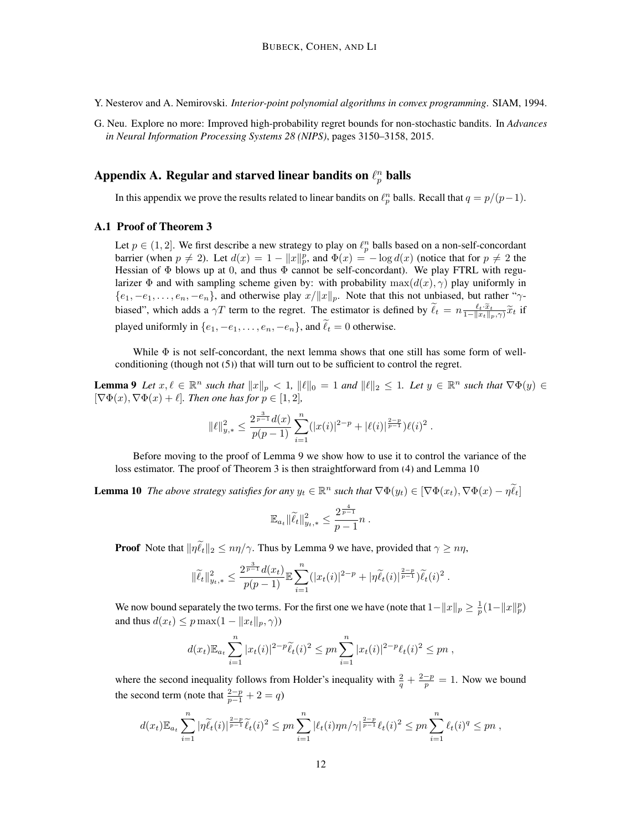- <span id="page-11-0"></span>Y. Nesterov and A. Nemirovski. *Interior-point polynomial algorithms in convex programming*. SIAM, 1994.
- <span id="page-11-1"></span>G. Neu. Explore no more: Improved high-probability regret bounds for non-stochastic bandits. In *Advances in Neural Information Processing Systems 28 (NIPS)*, pages 3150–3158, 2015.

# Appendix A. Regular and starved linear bandits on  $\ell_p^n$  balls

In this appendix we prove the results related to linear bandits on  $\ell_p^n$  balls. Recall that  $q = p/(p-1)$ .

#### A.1 Proof of Theorem [3](#page-2-1)

Let  $p \in (1, 2]$ . We first describe a new strategy to play on  $\ell_p^n$  balls based on a non-self-concordant barrier (when  $p \neq 2$ ). Let  $d(x) = 1 - ||x||_p^p$ , and  $\Phi(x) = -\log d(x)$  (notice that for  $p \neq 2$  the Hessian of Φ blows up at 0, and thus Φ cannot be self-concordant). We play FTRL with regularizer  $\Phi$  and with sampling scheme given by: with probability max $(d(x), \gamma)$  play uniformly in  $\{e_1, -e_1, \ldots, e_n, -e_n\}$ , and otherwise play  $x/||x||_p$ . Note that this not unbiased, but rather "γbiased", which adds a  $\gamma T$  term to the regret. The estimator is defined by  $\tilde{\ell}_t = n \frac{\ell_t \cdot \tilde{x}_t}{1 - ||x_t||_p, \gamma} \tilde{x}_t$  if played uniformly in  $\{e_1, -e_1, \ldots, e_n, -e_n\}$ , and  $\widetilde{\ell}_t = 0$  otherwise.

While  $\Phi$  is not self-concordant, the next lemma shows that one still has some form of wellconditioning (though not  $(5)$ ) that will turn out to be sufficient to control the regret.

<span id="page-11-2"></span>**Lemma 9** Let  $x, \ell \in \mathbb{R}^n$  such that  $||x||_p < 1$ ,  $||\ell||_0 = 1$  and  $||\ell||_2 \leq 1$ . Let  $y \in \mathbb{R}^n$  such that  $\nabla \Phi(y) \in$  $[\nabla \Phi(x), \nabla \Phi(x) + \ell]$ *. Then one has for*  $p \in [1, 2]$ *,* 

$$
\|\ell\|_{y,*}^2 \leq \frac{2^{\frac{3}{p-1}}d(x)}{p(p-1)}\sum_{i=1}^n (|x(i)|^{2-p}+|\ell(i)|^{\frac{2-p}{p-1}})\ell(i)^2.
$$

Before moving to the proof of Lemma [9](#page-11-2) we show how to use it to control the variance of the loss estimator. The proof of Theorem [3](#page-2-1) is then straightforward from [\(4\)](#page-4-6) and Lemma [10.](#page-11-3)

<span id="page-11-3"></span>**Lemma 10** *The above strategy satisfies for any*  $y_t \in \mathbb{R}^n$  *such that*  $\nabla \Phi(y_t) \in [\nabla \Phi(x_t), \nabla \Phi(x) - \eta \tilde{\ell}_t]$ 

$$
\mathbb{E}_{a_t} \|\widetilde{\ell}_t\|_{y_{t,*}}^2 \le \frac{2^{\frac{4}{p-1}}}{p-1} n.
$$

**Proof** Note that  $\|\eta \tilde{\ell}_t\|_2 \leq n\eta/\gamma$ . Thus by Lemma [9](#page-11-2) we have, provided that  $\gamma \geq n\eta$ ,

$$
\|\widetilde{\ell}_t\|_{y_t,*}^2 \leq \frac{2^{\frac{3}{p-1}}d(x_t)}{p(p-1)} \mathbb{E} \sum_{i=1}^n (|x_t(i)|^{2-p} + |\eta \widetilde{\ell}_t(i)|^{\frac{2-p}{p-1}}) \widetilde{\ell}_t(i)^2.
$$

We now bound separately the two terms. For the first one we have (note that  $1 - \|x\|_p \ge \frac{1}{p}(1 - \|x\|_p^p)$ and thus  $d(x_t) \leq p \max(1 - ||x_t||_p, \gamma)$ 

$$
d(x_t) \mathbb{E}_{a_t} \sum_{i=1}^n |x_t(i)|^{2-p} \widetilde{\ell}_t(i)^2 \le pn \sum_{i=1}^n |x_t(i)|^{2-p} \ell_t(i)^2 \le pn
$$
,

where the second inequality follows from Holder's inequality with  $\frac{2}{q} + \frac{2-p}{p} = 1$ . Now we bound the second term (note that  $\frac{2-p}{p-1} + 2 = q$ )

$$
d(x_t) \mathbb{E}_{a_t} \sum_{i=1}^n |\eta \widetilde{\ell}_t(i)|^{\frac{2-p}{p-1}} \widetilde{\ell}_t(i)^2 \le pn \sum_{i=1}^n |\ell_t(i)\eta n/\gamma|^{\frac{2-p}{p-1}} \ell_t(i)^2 \le pn \sum_{i=1}^n \ell_t(i)^q \le pn,
$$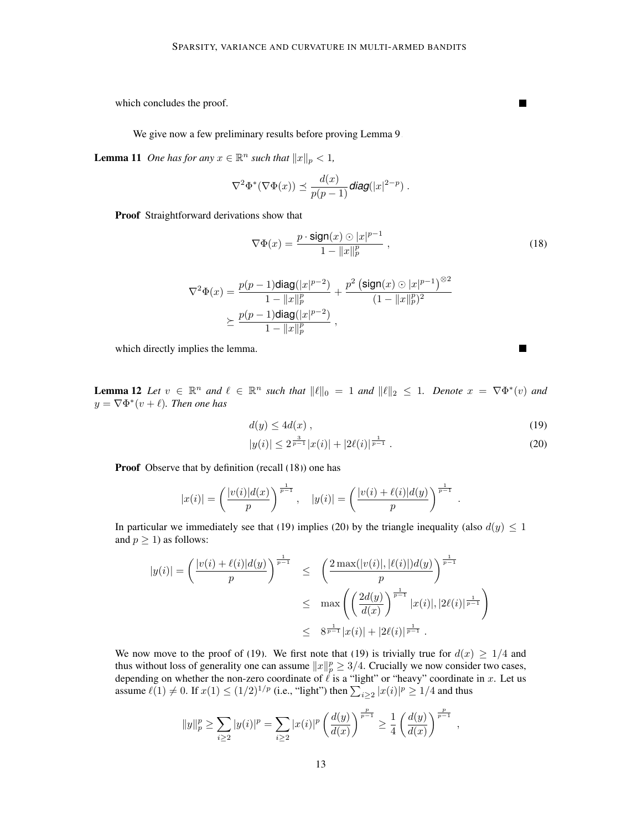which concludes the proof.

We give now a few preliminary results before proving Lemma [9.](#page-11-2)

<span id="page-12-3"></span>**Lemma 11** *One has for any*  $x \in \mathbb{R}^n$  *such that*  $||x||_p < 1$ *,* 

$$
\nabla^2 \Phi^*(\nabla \Phi(x)) \preceq \frac{d(x)}{p(p-1)} \text{diag}(|x|^{2-p}) \ .
$$

Proof Straightforward derivations show that

<span id="page-12-0"></span>
$$
\nabla \Phi(x) = \frac{p \cdot \text{sign}(x) \odot |x|^{p-1}}{1 - ||x||_p^p},
$$
\n(18)

$$
\begin{aligned} \nabla^2\Phi(x) &= \frac{p(p-1)\text{diag}(|x|^{p-2})}{1-||x||_p^p} + \frac{p^2\left(\text{sign}(x)\odot|x|^{p-1}\right)^{\otimes 2}}{(1-||x||_p^p)^2}\\ &\succeq \frac{p(p-1)\text{diag}(|x|^{p-2})}{1-||x||_p^p}\,, \end{aligned}
$$

which directly implies the lemma.

**Lemma 12** Let  $v \in \mathbb{R}^n$  and  $\ell \in \mathbb{R}^n$  such that  $\|\ell\|_0 = 1$  and  $\|\ell\|_2 \leq 1$ . Denote  $x = \nabla \Phi^*(v)$  and  $y = \nabla \Phi^*(v + \ell)$ . Then one has

$$
d(y) \le 4d(x) \tag{19}
$$

$$
|y(i)| \le 2^{\frac{3}{p-1}}|x(i)| + |2\ell(i)|^{\frac{1}{p-1}}.
$$
\n(20)

.

Proof Observe that by definition (recall [\(18\)](#page-12-0)) one has

$$
|x(i)| = \left(\frac{|v(i)|d(x)}{p}\right)^{\frac{1}{p-1}}, \quad |y(i)| = \left(\frac{|v(i) + \ell(i)|d(y)}{p}\right)^{\frac{1}{p-1}}
$$

In particular we immediately see that [\(19\)](#page-12-1) implies [\(20\)](#page-12-2) by the triangle inequality (also  $d(y) \leq 1$ and  $p \geq 1$ ) as follows:

$$
|y(i)| = \left(\frac{|v(i) + \ell(i)|d(y)}{p}\right)^{\frac{1}{p-1}} \le \left(\frac{2\max(|v(i)|, |\ell(i)|)d(y)}{p}\right)^{\frac{1}{p-1}}
$$
  

$$
\le \max\left(\left(\frac{2d(y)}{d(x)}\right)^{\frac{1}{p-1}}|x(i)|, |2\ell(i)|^{\frac{1}{p-1}}\right)
$$
  

$$
\le 8^{\frac{1}{p-1}}|x(i)| + |2\ell(i)|^{\frac{1}{p-1}}.
$$

We now move to the proof of [\(19\)](#page-12-1). We first note that (19) is trivially true for  $d(x) \geq 1/4$  and thus without loss of generality one can assume  $||x||_p^p \ge 3/4$ . Crucially we now consider two cases, depending on whether the non-zero coordinate of  $\ell$  is a "light" or "heavy" coordinate in x. Let us assume  $\ell(1) \neq 0$ . If  $x(1) \leq (1/2)^{1/p}$  (i.e., "light") then  $\sum_{i \geq 2} |x(i)|^p \geq 1/4$  and thus

$$
||y||_p^p \ge \sum_{i\ge 2} |y(i)|^p = \sum_{i\ge 2} |x(i)|^p \left(\frac{d(y)}{d(x)}\right)^{\frac{p}{p-1}} \ge \frac{1}{4} \left(\frac{d(y)}{d(x)}\right)^{\frac{p}{p-1}},
$$

 $\blacksquare$ 

<span id="page-12-2"></span><span id="page-12-1"></span>П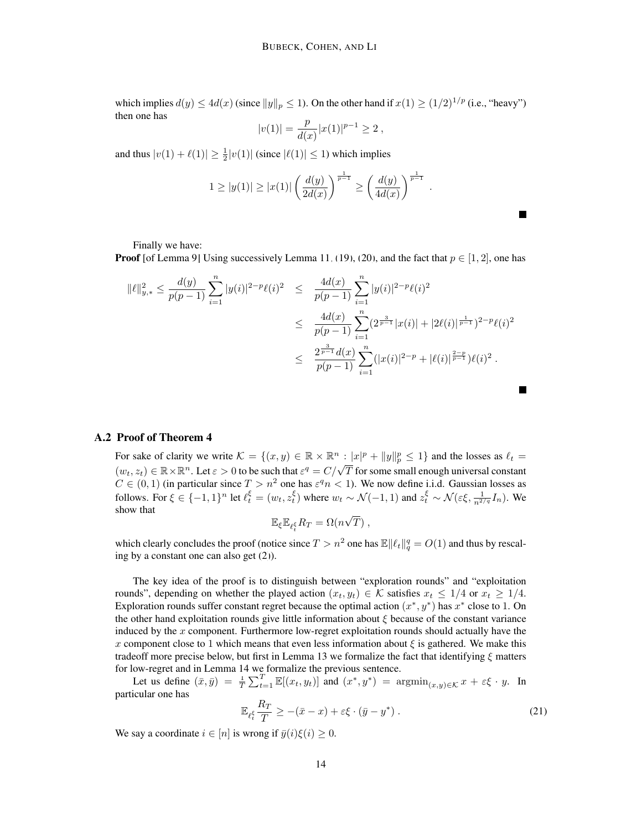which implies  $d(y) \le 4d(x)$  (since  $||y||_p \le 1$ ). On the other hand if  $x(1) \ge (1/2)^{1/p}$  (i.e., "heavy") then one has

$$
|v(1)| = \frac{p}{d(x)} |x(1)|^{p-1} \ge 2,
$$

and thus  $|v(1) + \ell(1)| \ge \frac{1}{2}|v(1)|$  (since  $|\ell(1)| \le 1$ ) which implies

$$
1 \ge |y(1)| \ge |x(1)| \left(\frac{d(y)}{2d(x)}\right)^{\frac{1}{p-1}} \ge \left(\frac{d(y)}{4d(x)}\right)^{\frac{1}{p-1}}.
$$

П

Finally we have:

**Proof** [of Lemma [9\]](#page-11-2) Using successively Lemma [11,](#page-12-3) [\(19\)](#page-12-1), [\(20\)](#page-12-2), and the fact that  $p \in [1, 2]$ , one has

$$
\begin{split} \|\ell\|_{y,*}^2 &\leq \frac{d(y)}{p(p-1)} \sum_{i=1}^n |y(i)|^{2-p} \ell(i)^2 &\leq \frac{4d(x)}{p(p-1)} \sum_{i=1}^n |y(i)|^{2-p} \ell(i)^2 \\ &\leq \frac{4d(x)}{p(p-1)} \sum_{i=1}^n (2^{\frac{3}{p-1}} |x(i)| + |2\ell(i)|^{\frac{1}{p-1}})^{2-p} \ell(i)^2 \\ &\leq \frac{2^{\frac{3}{p-1}} d(x)}{p(p-1)} \sum_{i=1}^n (|x(i)|^{2-p} + |\ell(i)|^{\frac{2-p}{p-1}}) \ell(i)^2 .\end{split}
$$

# A.2 Proof of Theorem [4](#page-3-2)

For sake of clarity we write  $\mathcal{K} = \{(x, y) \in \mathbb{R} \times \mathbb{R}^n : |x|^p + ||y||_p^p \le 1\}$  and the losses as  $\ell_t =$ For sale of early we write  $\kappa = \sqrt{x}, y \in \mathbb{R} \times \mathbb{R}$ .  $|\kappa| + \sqrt{y}|y|_p \le 1$  and the losses as  $\epsilon_t = (w_t, z_t) \in \mathbb{R} \times \mathbb{R}^n$ . Let  $\varepsilon > 0$  to be such that  $\varepsilon^q = C/\sqrt{T}$  for some small enough universal constant  $C \in (0,1)$  (in particular since  $T > n^2$  one has  $\varepsilon^q n < 1$ ). We now define i.i.d. Gaussian losses as follows. For  $\xi \in \{-1,1\}^n$  let  $\ell_t^{\xi} = (w_t, z_t^{\xi})$  where  $w_t \sim \mathcal{N}(-1,1)$  and  $z_t^{\xi} \sim \mathcal{N}(\varepsilon\xi, \frac{1}{n^{2/q}}I_n)$ . We show that √

$$
\mathbb{E}_{\xi} \mathbb{E}_{\ell_t^{\xi}} R_T = \Omega(n\sqrt{T}),
$$

which clearly concludes the proof (notice since  $T > n^2$  one has  $\mathbb{E} \|\ell_t\|_q^q = O(1)$  and thus by rescaling by a constant one can also get [\(2\)](#page-3-1)).

The key idea of the proof is to distinguish between "exploration rounds" and "exploitation rounds", depending on whether the played action  $(x_t, y_t) \in \mathcal{K}$  satisfies  $x_t \leq 1/4$  or  $x_t \geq 1/4$ . Exploration rounds suffer constant regret because the optimal action  $(x^*, y^*)$  has  $x^*$  close to 1. On the other hand exploitation rounds give little information about  $\xi$  because of the constant variance induced by the  $x$  component. Furthermore low-regret exploitation rounds should actually have the x component close to 1 which means that even less information about  $\xi$  is gathered. We make this tradeoff more precise below, but first in Lemma [13](#page-13-0) we formalize the fact that identifying  $\xi$  matters for low-regret and in Lemma [14](#page-14-0) we formalize the previous sentence.

Let us define  $(\bar{x}, \bar{y}) = \frac{1}{T} \sum_{t=1}^{T} \mathbb{E}[(x_t, y_t)]$  and  $(x^*, y^*) = \operatorname{argmin}_{(x, y) \in \mathcal{K}} x + \varepsilon \xi \cdot y$ . In particular one has

<span id="page-13-1"></span>
$$
\mathbb{E}_{\ell_t^{\xi}} \frac{R_T}{T} \ge -(\bar{x} - x) + \varepsilon \xi \cdot (\bar{y} - y^*) \,. \tag{21}
$$

<span id="page-13-0"></span>We say a coordinate  $i \in [n]$  is wrong if  $\bar{y}(i)\xi(i) \geq 0$ .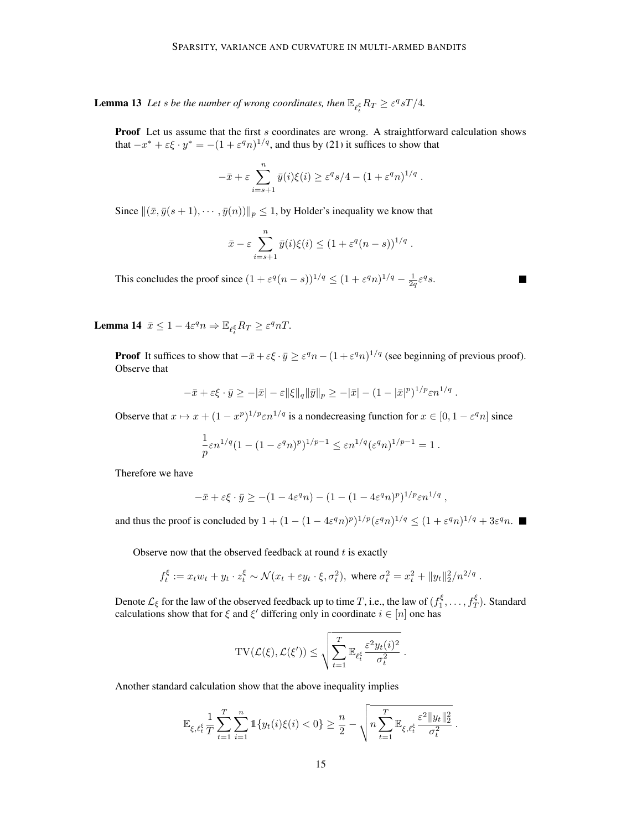**Lemma 13** Let *s* be the number of wrong coordinates, then  $\mathbb{E}_{\ell_t^{\xi}} R_T \geq \varepsilon^q sT/4$ .

Proof Let us assume that the first s coordinates are wrong. A straightforward calculation shows that  $-x^* + \varepsilon \xi \cdot y^* = -(1 + \varepsilon^q n)^{1/q}$ , and thus by [\(21\)](#page-13-1) it suffices to show that

$$
-\bar{x} + \varepsilon \sum_{i=s+1}^n \bar{y}(i)\xi(i) \ge \varepsilon^q s/4 - (1 + \varepsilon^q n)^{1/q}.
$$

Since  $\|(\bar{x}, \bar{y}(s + 1), \cdots, \bar{y}(n))\|_p \leq 1$ , by Holder's inequality we know that

$$
\bar{x} - \varepsilon \sum_{i=s+1}^n \bar{y}(i)\xi(i) \le (1 + \varepsilon^q (n-s))^{1/q}.
$$

This concludes the proof since  $(1 + \varepsilon^q (n - s))^{1/q} \le (1 + \varepsilon^q n)^{1/q} - \frac{1}{2q} \varepsilon^q s$ .

<span id="page-14-0"></span>**Lemma 14**  $\bar{x} \leq 1 - 4\varepsilon^q n \Rightarrow \mathbb{E}_{\ell_t^{\xi}} R_T \geq \varepsilon^q nT$ .

**Proof** It suffices to show that  $-\bar{x} + \varepsilon \xi \cdot \bar{y} \ge \varepsilon^q n - (1 + \varepsilon^q n)^{1/q}$  (see beginning of previous proof). Observe that

$$
-\bar{x}+\varepsilon \xi \cdot \bar{y} \geq -|\bar{x}|-\varepsilon \|\xi\|_q \|\bar{y}\|_p \geq -|\bar{x}|-(1-|\bar{x}|^p)^{1/p}\varepsilon n^{1/q} .
$$

Observe that  $x \mapsto x + (1 - x^p)^{1/p} \varepsilon n^{1/q}$  is a nondecreasing function for  $x \in [0, 1 - \varepsilon^q n]$  since

$$
\frac{1}{p}\varepsilon n^{1/q}(1-(1-\varepsilon^qn)^p)^{1/p-1}\leq \varepsilon n^{1/q}(\varepsilon^qn)^{1/p-1}=1\;.
$$

Therefore we have

$$
-\bar{x} + \varepsilon \xi \cdot \bar{y} \ge -(1 - 4\varepsilon^q n) - (1 - (1 - 4\varepsilon^q n)^p)^{1/p} \varepsilon n^{1/q} ,
$$

and thus the proof is concluded by  $1 + (1 - (1 - 4\varepsilon^q n)^p)^{1/p} (\varepsilon^q n)^{1/q} \le (1 + \varepsilon^q n)^{1/q} + 3\varepsilon^q n$ .

Observe now that the observed feedback at round  $t$  is exactly

$$
f_t^{\xi} := x_t w_t + y_t \cdot z_t^{\xi} \sim \mathcal{N}(x_t + \varepsilon y_t \cdot \xi, \sigma_t^2), \text{ where } \sigma_t^2 = x_t^2 + ||y_t||_2^2 / n^{2/q}.
$$

Denote  $\mathcal{L}_\xi$  for the law of the observed feedback up to time  $T$ , i.e., the law of  $(f_1^\xi,\ldots,f_T^\xi)$ . Standard calculations show that for  $\xi$  and  $\xi'$  differing only in coordinate  $i \in [n]$  one has

$$
\mathrm{TV}(\mathcal{L}(\xi), \mathcal{L}(\xi')) \leq \sqrt{\sum_{t=1}^T \mathbb{E}_{\ell_t^{\xi}} \frac{\varepsilon^2 y_t(i)^2}{\sigma_t^2}}.
$$

Another standard calculation show that the above inequality implies

$$
\mathbb{E}_{\xi,\ell_t^{\xi}}\frac{1}{T}\sum_{t=1}^T\sum_{i=1}^n\mathbb{1}\{y_t(i)\xi(i)<0\}\geq\frac{n}{2}-\sqrt{n\sum_{t=1}^T\mathbb{E}_{\xi,\ell_t^{\xi}}\frac{\varepsilon^2\|y_t\|_2^2}{\sigma_t^2}}.
$$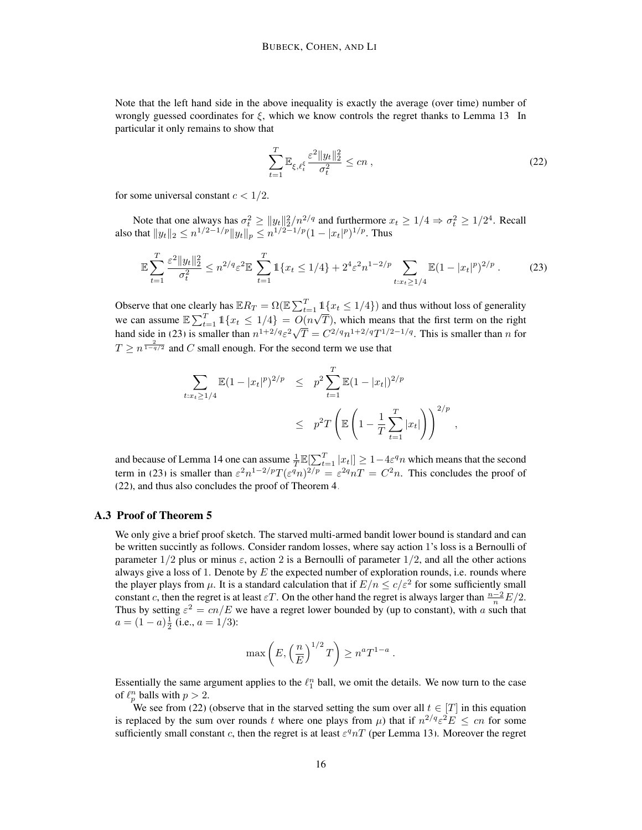Note that the left hand side in the above inequality is exactly the average (over time) number of wrongly guessed coordinates for  $\xi$ , which we know controls the regret thanks to Lemma [13.](#page-13-0) In particular it only remains to show that

<span id="page-15-1"></span><span id="page-15-0"></span>
$$
\sum_{t=1}^{T} \mathbb{E}_{\xi, \ell_t^{\xi}} \frac{\varepsilon^2 \|y_t\|_2^2}{\sigma_t^2} \le cn \,, \tag{22}
$$

for some universal constant  $c < 1/2$ .

Note that one always has  $\sigma_t^2 \ge ||y_t||_2^2/n^{2/q}$  and furthermore  $x_t \ge 1/4 \Rightarrow \sigma_t^2 \ge 1/2^4$ . Recall also that  $\|y_t\|_2 \leq n^{1/2-1/p} \|y_t\|_p \leq n^{1/2-1/p} (1-|x_t|^p)^{1/p}.$  Thus

$$
\mathbb{E}\sum_{t=1}^{T} \frac{\varepsilon^2 \|y_t\|_2^2}{\sigma_t^2} \le n^{2/q} \varepsilon^2 \mathbb{E}\sum_{t=1}^{T} \mathbb{1}\{x_t \le 1/4\} + 2^4 \varepsilon^2 n^{1-2/p} \sum_{t: x_t \ge 1/4} \mathbb{E}(1 - |x_t|^p)^{2/p}.
$$
 (23)

Observe that one clearly has  $\mathbb{E}R_T = \Omega(\mathbb{E} \sum_{t=1}^T \mathbb{1}\{x_t \leq 1/4\})$  and thus without loss of generality we can assume  $\mathbb{E}\sum_{t=1}^{T} \mathbb{1}\{x_t \leq 1/4\} = O(n\sqrt{T})$ , which means that the first term on the right we can assume  $\mathbb{E}\sum_{t=1}^{\infty} 1 \mathbb{1} \mathbb{1} \mathbb{1} \mathbb{1} \mathbb{1} \mathbb{1} \mathbb{1} \mathbb{1} \mathbb{1} \mathbb{1} \mathbb{1} \mathbb{1} \mathbb{1} \mathbb{1} \mathbb{1} \mathbb{1} \mathbb{1} \mathbb{1} \mathbb{1} \mathbb{1} \mathbb{1} \mathbb{1} \mathbb{1} \mathbb{1} \mathbb{1} \mathbb{1} \mathbb{1} \mathbb{1} \mathbb{1} \mathbb{1} \mathbb{1} \$  $\overline{T} = C^{2/q} n^{1+2/q} T^{1/2-1/q}$ . This is smaller than n for  $T \geq n^{\frac{2}{1-q/2}}$  and C small enough. For the second term we use that

$$
\sum_{t:x_t\geq 1/4} \mathbb{E}(1-|x_t|^p)^{2/p} \leq p^2 \sum_{t=1}^T \mathbb{E}(1-|x_t|)^{2/p}
$$
\n
$$
\leq p^2 T \left( \mathbb{E}\left(1-\frac{1}{T}\sum_{t=1}^T |x_t|\right) \right)^{2/p},
$$

and because of Lemma [14](#page-14-0) one can assume  $\frac{1}{T}\mathbb{E}[\sum_{t=1}^T |x_t|] \geq 1-4\varepsilon^q n$  which means that the second term in [\(23\)](#page-15-0) is smaller than  $\varepsilon^2 n^{1-2/p} T(\varepsilon^q n)^{2/p} = \varepsilon^{2q} nT = C^2 n$ . This concludes the proof of [\(22\)](#page-15-1), and thus also concludes the proof of Theorem [4.](#page-3-2)

# A.3 Proof of Theorem [5](#page-3-3)

We only give a brief proof sketch. The starved multi-armed bandit lower bound is standard and can be written succintly as follows. Consider random losses, where say action 1's loss is a Bernoulli of parameter  $1/2$  plus or minus  $\varepsilon$ , action 2 is a Bernoulli of parameter  $1/2$ , and all the other actions always give a loss of 1. Denote by E the expected number of exploration rounds, i.e. rounds where the player plays from  $\mu$ . It is a standard calculation that if  $E/n \leq c/\varepsilon^2$  for some sufficiently small constant c, then the regret is at least  $\varepsilon T$ . On the other hand the regret is always larger than  $\frac{n-2}{n}E/2$ . Thus by setting  $\varepsilon^2 = cn/E$  we have a regret lower bounded by (up to constant), with a such that  $a = (1 - a)\frac{1}{2}$  (i.e.,  $a = 1/3$ ):

$$
\max\left(E, \left(\frac{n}{E}\right)^{1/2}T\right) \ge n^a T^{1-a}.
$$

Essentially the same argument applies to the  $\ell_1^n$  ball, we omit the details. We now turn to the case of  $\ell_p^n$  balls with  $p > 2$ .

We see from [\(22\)](#page-15-1) (observe that in the starved setting the sum over all  $t \in [T]$  in this equation is replaced by the sum over rounds t where one plays from  $\mu$ ) that if  $n^{2/q} \varepsilon^2 E \le cn$  for some sufficiently small constant c, then the regret is at least  $\varepsilon^q nT$  (per Lemma [13\)](#page-13-0). Moreover the regret